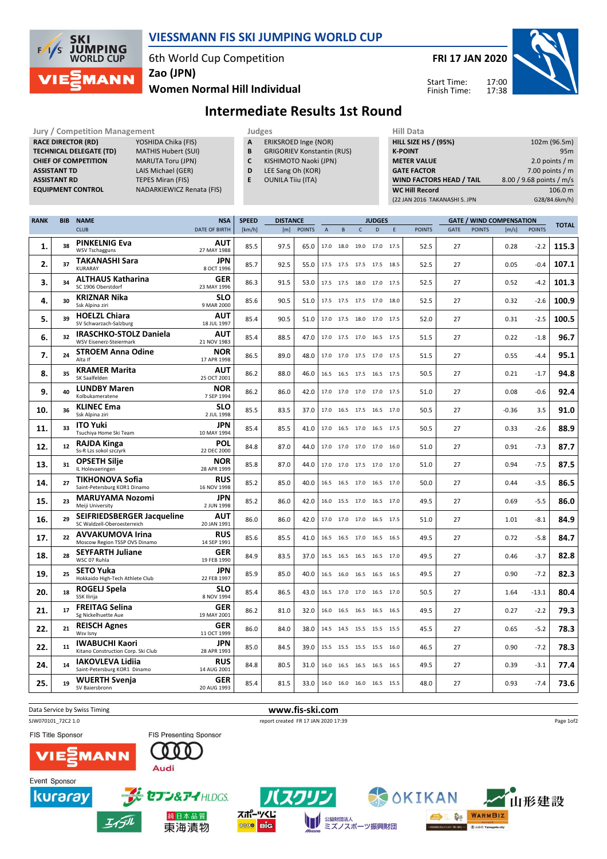

## VIESSMANN FIS SKI JUMPING WORLD CUP

6th World Cup Competition

FRI 17 JAN 2020

Start Time: Finish Time:



Women Normal Hill Individual Zao (JPN)

Intermediate Results 1st Round

| <b>Jury / Competition Management</b> |                            | Judges       |                                   | <b>Hill Data</b>                |                          |
|--------------------------------------|----------------------------|--------------|-----------------------------------|---------------------------------|--------------------------|
| <b>RACE DIRECTOR (RD)</b>            | YOSHIDA Chika (FIS)        | $\mathbf{A}$ | ERIKSROED Inge (NOR)              | <b>HILL SIZE HS / (95%)</b>     | 102m (96.5m)             |
| <b>TECHNICAL DELEGATE (TD)</b>       | <b>MATHIS Hubert (SUI)</b> | в            | <b>GRIGORIEV Konstantin (RUS)</b> | <b>K-POINT</b>                  | 95 <sub>m</sub>          |
| <b>CHIEF OF COMPETITION</b>          | <b>MARUTA Toru (JPN)</b>   |              | KISHIMOTO Naoki (JPN)             | <b>METER VALUE</b>              | 2.0 points / $m$         |
| ASSISTANT TD                         | LAIS Michael (GER)         | D            | LEE Sang Oh (KOR)                 | <b>GATE FACTOR</b>              | 7.00 points / $m$        |
| <b>ASSISTANT RD</b>                  | TEPES Miran (FIS)          |              | <b>OUNILA Tiiu (ITA)</b>          | <b>WIND FACTORS HEAD / TAIL</b> | 8.00 / 9.68 points / m/s |
| <b>EQUIPMENT CONTROL</b>             | NADARKIEWICZ Renata (FIS)  |              |                                   | <b>WC Hill Record</b>           | 106.0 m                  |
|                                      |                            |              |                                   | (22 JAN 2016 TAKANASHI S. JPN   | G28/84.6km/h)            |
|                                      |                            |              |                                   |                                 |                          |

| <b>RANK</b> | <b>BIB</b> | <b>NAME</b>                                                      | <b>NSA</b>                |        | <b>SPEED</b><br><b>DISTANCE</b> |               |   |                          |                | <b>JUDGES</b> |   |               |      |               | <b>GATE / WIND COMPENSATION</b> | <b>TOTAL</b>  |       |
|-------------|------------|------------------------------------------------------------------|---------------------------|--------|---------------------------------|---------------|---|--------------------------|----------------|---------------|---|---------------|------|---------------|---------------------------------|---------------|-------|
|             |            | <b>CLUB</b>                                                      | <b>DATE OF BIRTH</b>      | [km/h] | [m]                             | <b>POINTS</b> | A | B                        | $\mathsf{C}$   | D             | E | <b>POINTS</b> | GATE | <b>POINTS</b> | [m/s]                           | <b>POINTS</b> |       |
| 1.          | 38         | <b>PINKELNIG Eva</b><br><b>WSV Tschagguns</b>                    | AUT<br>27 MAY 1988        | 85.5   | 97.5                            | 65.0          |   | 17.0 18.0 19.0 17.0 17.5 |                |               |   | 52.5          | 27   |               | 0.28                            | $-2.2$        | 115.3 |
| 2.          | 37         | <b>TAKANASHI Sara</b><br><b>KURARAY</b>                          | JPN<br>8 OCT 1996         | 85.7   | 92.5                            | 55.0          |   | 17.5 17.5 17.5 17.5 18.5 |                |               |   | 52.5          | 27   |               | 0.05                            | $-0.4$        | 107.1 |
| 3.          | 34         | <b>ALTHAUS Katharina</b><br>SC 1906 Oberstdorf                   | <b>GER</b><br>23 MAY 1996 | 86.3   | 91.5                            | 53.0          |   | 17.5 17.5 18.0 17.0 17.5 |                |               |   | 52.5          | 27   |               | 0.52                            | $-4.2$        | 101.3 |
| 4.          | 30         | <b>KRIZNAR Nika</b><br>Ssk Alpina ziri                           | <b>SLO</b><br>9 MAR 2000  | 85.6   | 90.5                            | 51.0          |   | 17.5 17.5 17.5 17.0 18.0 |                |               |   | 52.5          | 27   |               | 0.32                            | $-2.6$        | 100.9 |
| 5.          | 39         | <b>HOELZL Chiara</b><br>SV Schwarzach-Salzburg                   | AUT<br>18 JUL 1997        | 85.4   | 90.5                            | 51.0          |   | 17.0 17.5                | 18.0 17.0 17.5 |               |   | 52.0          | 27   |               | 0.31                            | $-2.5$        | 100.5 |
| 6.          | 32         | <b>IRASCHKO-STOLZ Daniela</b><br>WSV Eisenerz-Steiermark         | AUT<br>21 NOV 1983        | 85.4   | 88.5                            | 47.0          |   | 17.0 17.5 17.0 16.5 17.5 |                |               |   | 51.5          | 27   |               | 0.22                            | $-1.8$        | 96.7  |
| 7.          | 24         | <b>STROEM Anna Odine</b><br>Alta If                              | <b>NOR</b><br>17 APR 1998 | 86.5   | 89.0                            | 48.0          |   | 17.0 17.0 17.5 17.0 17.5 |                |               |   | 51.5          | 27   |               | 0.55                            | $-4.4$        | 95.1  |
| 8.          | 35         | <b>KRAMER Marita</b><br>SK Saalfelden                            | AUT<br>25 OCT 2001        | 86.2   | 88.0                            | 46.0          |   | 16.5 16.5 17.5 16.5 17.5 |                |               |   | 50.5          | 27   |               | 0.21                            | $-1.7$        | 94.8  |
| 9.          | 40         | <b>LUNDBY Maren</b><br>Kolbukameratene                           | <b>NOR</b><br>7 SEP 1994  | 86.2   | 86.0                            | 42.0          |   | 17.0 17.0 17.0 17.0 17.5 |                |               |   | 51.0          | 27   |               | 0.08                            | $-0.6$        | 92.4  |
| 10.         | 36         | <b>KLINEC Ema</b><br>Ssk Alpina ziri                             | <b>SLO</b><br>2 JUL 1998  | 85.5   | 83.5                            | 37.0          |   | 17.0 16.5 17.5 16.5 17.0 |                |               |   | 50.5          | 27   |               | $-0.36$                         | 3.5           | 91.0  |
| 11.         | 33         | <b>ITO Yuki</b><br>Tsuchiya Home Ski Team                        | JPN<br>10 MAY 1994        | 85.4   | 85.5                            | 41.0          |   | 17.0 16.5 17.0 16.5 17.5 |                |               |   | 50.5          | 27   |               | 0.33                            | $-2.6$        | 88.9  |
| 12.         | 12         | <b>RAJDA Kinga</b><br>Ss-R Lzs sokol szczyrk                     | <b>POL</b><br>22 DEC 2000 | 84.8   | 87.0                            | 44.0          |   | 17.0 17.0                | 17.0           | 17.0 16.0     |   | 51.0          | 27   |               | 0.91                            | $-7.3$        | 87.7  |
| 13.         | 31         | <b>OPSETH Silje</b><br>IL Holevaeringen                          | <b>NOR</b><br>28 APR 1999 | 85.8   | 87.0                            | 44.0          |   | 17.0 17.0 17.5 17.0 17.0 |                |               |   | 51.0          | 27   |               | 0.94                            | $-7.5$        | 87.5  |
| 14.         | 27         | <b>TIKHONOVA Sofia</b><br>Saint-Petersburg KOR1 Dinamo           | <b>RUS</b><br>16 NOV 1998 | 85.2   | 85.0                            | 40.0          |   | 16.5 16.5 17.0 16.5 17.0 |                |               |   | 50.0          | 27   |               | 0.44                            | $-3.5$        | 86.5  |
| 15.         | 23         | <b>MARUYAMA Nozomi</b><br>Meiji University                       | <b>JPN</b><br>2 JUN 1998  | 85.2   | 86.0                            | 42.0          |   | 16.0 15.5 17.0 16.5 17.0 |                |               |   | 49.5          | 27   |               | 0.69                            | $-5.5$        | 86.0  |
| 16.         | 29         | <b>SEIFRIEDSBERGER Jacqueline</b><br>SC Waldzell-Oberoesterreich | <b>AUT</b><br>20 JAN 1991 | 86.0   | 86.0                            | 42.0          |   | 17.0 17.0 17.0 16.5 17.5 |                |               |   | 51.0          | 27   |               | 1.01                            | $-8.1$        | 84.9  |
| 17.         | 22         | <b>AVVAKUMOVA Irina</b><br>Moscow Region TSSP OVS Dinamo         | <b>RUS</b><br>14 SEP 1991 | 85.6   | 85.5                            | 41.0          |   | 16.5 16.5 17.0 16.5 16.5 |                |               |   | 49.5          | 27   |               | 0.72                            | $-5.8$        | 84.7  |
| 18.         | 28         | <b>SEYFARTH Juliane</b><br>WSC 07 Ruhla                          | <b>GER</b><br>19 FEB 1990 | 84.9   | 83.5                            | 37.0          |   | 16.5 16.5 16.5 16.5 17.0 |                |               |   | 49.5          | 27   |               | 0.46                            | $-3.7$        | 82.8  |
| 19.         | 25         | <b>SETO Yuka</b><br>Hokkaido High-Tech Athlete Club              | <b>JPN</b><br>22 FEB 1997 | 85.9   | 85.0                            | 40.0          |   | 16.5 16.0                | 16.5           | 16.5 16.5     |   | 49.5          | 27   |               | 0.90                            | $-7.2$        | 82.3  |
| 20.         | 18         | ROGELJ Spela<br>SSK Ilirija                                      | <b>SLO</b><br>8 NOV 1994  | 85.4   | 86.5                            | 43.0          |   | 16.5 17.0 17.0 16.5 17.0 |                |               |   | 50.5          | 27   |               | 1.64                            | $-13.1$       | 80.4  |
| 21.         | 17         | <b>FREITAG Selina</b><br>Sg Nickelhuette Aue                     | <b>GER</b><br>19 MAY 2001 | 86.2   | 81.0                            | 32.0          |   | 16.0 16.5 16.5 16.5 16.5 |                |               |   | 49.5          | 27   |               | 0.27                            | $-2.2$        | 79.3  |
| 22.         | 21         | <b>REISCH Agnes</b><br>Wsv Isny                                  | <b>GER</b><br>11 OCT 1999 | 86.0   | 84.0                            | 38.0          |   | 14.5 14.5 15.5 15.5 15.5 |                |               |   | 45.5          | 27   |               | 0.65                            | $-5.2$        | 78.3  |
| 22.         | 11         | <b>IWABUCHI Kaori</b><br>Kitano Construction Corp. Ski Club      | <b>JPN</b><br>28 APR 1993 | 85.0   | 84.5                            | 39.0          |   | 15.5 15.5 15.5 15.5 16.0 |                |               |   | 46.5          | 27   |               | 0.90                            | $-7.2$        | 78.3  |
| 24.         | 14         | <b>IAKOVLEVA Lidija</b><br>Saint-Petersburg KOR1 Dinamo          | <b>RUS</b><br>14 AUG 2001 | 84.8   | 80.5                            | 31.0          |   | 16.0 16.5 16.5 16.5 16.5 |                |               |   | 49.5          | 27   |               | 0.39                            | $-3.1$        | 77.4  |
| 25.         | 19         | WUERTH Svenja<br>SV Baiersbronn                                  | <b>GER</b><br>20 AUG 1993 | 85.4   | 81.5                            | 33.0          |   | 16.0 16.0 16.0 16.5 15.5 |                |               |   | 48.0          | 27   |               | 0.93                            | $-7.4$        | 73.6  |
|             |            |                                                                  |                           |        |                                 |               |   |                          |                |               |   |               |      |               |                                 |               |       |



W

スポーツくじ

**Die** 0000

OKIKAN

<sup>公益財団法人</sup><br>ミズノスポーツ振興財団

**ON WARMBIZ** 

 $T<sub>0</sub>$  diagon **NO FROM RT of** 

山形建設

セブン&アイHLDGS.

純日本品質

東海漬物